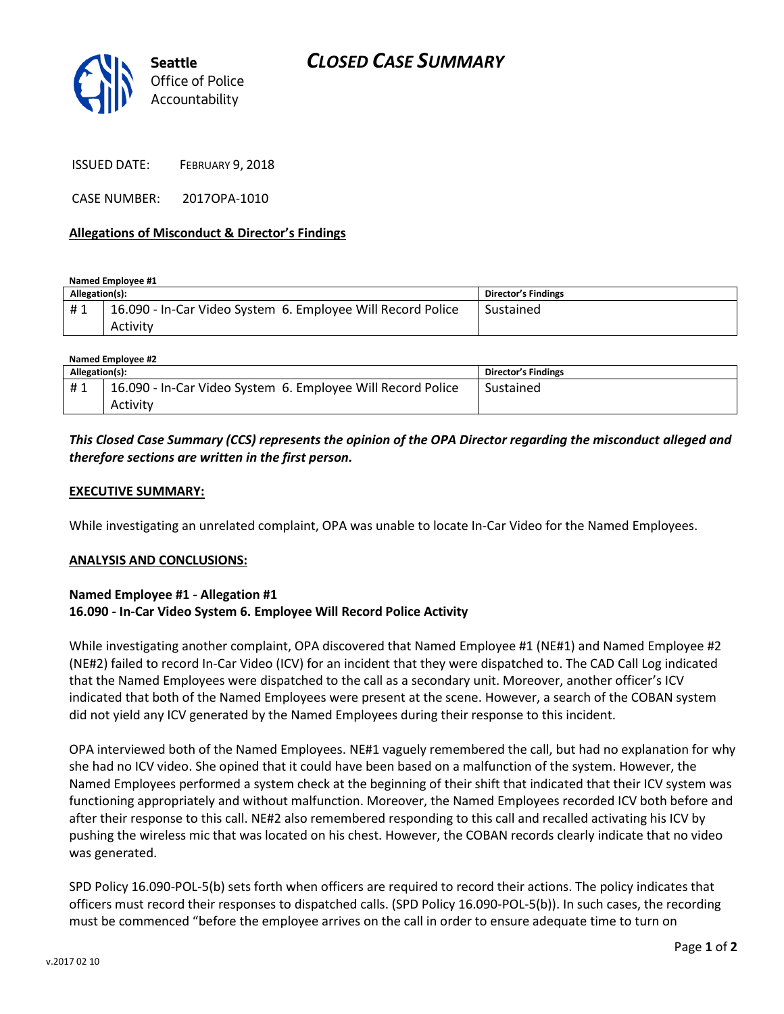

ISSUED DATE: FEBRUARY 9, 2018

CASE NUMBER: 2017OPA-1010

### **Allegations of Misconduct & Director's Findings**

**Named Employee #1**

| 16.090 - In-Car Video System 6. Employee Will Record Police<br>#1<br>Activity | Sustained |
|-------------------------------------------------------------------------------|-----------|

| Named Employee #2 |                                                             |                     |  |
|-------------------|-------------------------------------------------------------|---------------------|--|
| Allegation(s):    |                                                             | Director's Findings |  |
| #1                | 16.090 - In-Car Video System 6. Employee Will Record Police | Sustained           |  |
|                   | Activity                                                    |                     |  |

# *This Closed Case Summary (CCS) represents the opinion of the OPA Director regarding the misconduct alleged and therefore sections are written in the first person.*

#### **EXECUTIVE SUMMARY:**

While investigating an unrelated complaint, OPA was unable to locate In-Car Video for the Named Employees.

#### **ANALYSIS AND CONCLUSIONS:**

## **Named Employee #1 - Allegation #1 16.090 - In-Car Video System 6. Employee Will Record Police Activity**

While investigating another complaint, OPA discovered that Named Employee #1 (NE#1) and Named Employee #2 (NE#2) failed to record In-Car Video (ICV) for an incident that they were dispatched to. The CAD Call Log indicated that the Named Employees were dispatched to the call as a secondary unit. Moreover, another officer's ICV indicated that both of the Named Employees were present at the scene. However, a search of the COBAN system did not yield any ICV generated by the Named Employees during their response to this incident.

OPA interviewed both of the Named Employees. NE#1 vaguely remembered the call, but had no explanation for why she had no ICV video. She opined that it could have been based on a malfunction of the system. However, the Named Employees performed a system check at the beginning of their shift that indicated that their ICV system was functioning appropriately and without malfunction. Moreover, the Named Employees recorded ICV both before and after their response to this call. NE#2 also remembered responding to this call and recalled activating his ICV by pushing the wireless mic that was located on his chest. However, the COBAN records clearly indicate that no video was generated.

SPD Policy 16.090-POL-5(b) sets forth when officers are required to record their actions. The policy indicates that officers must record their responses to dispatched calls. (SPD Policy 16.090-POL-5(b)). In such cases, the recording must be commenced "before the employee arrives on the call in order to ensure adequate time to turn on